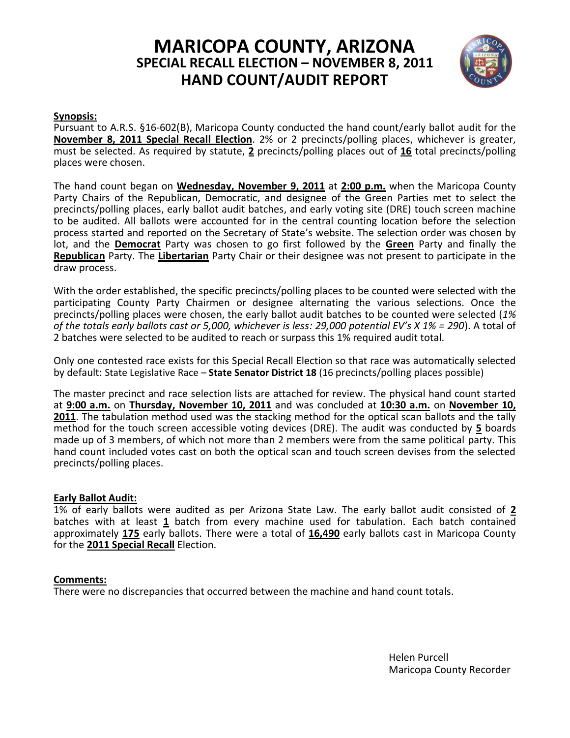# **MARICOPA COUNTY, ARIZONA SPECIAL RECALL ELECTION – NOVEMBER 8, 2011 HAND COUNT/AUDIT REPORT**



#### **Synopsis:**

Pursuant to A.R.S. §16-602(B), Maricopa County conducted the hand count/early ballot audit for the **November 8, 2011 Special Recall Election**. 2% or 2 precincts/polling places, whichever is greater, must be selected. As required by statute, **2** precincts/polling places out of **16** total precincts/polling places were chosen.

The hand count began on **Wednesday, November 9, 2011** at **2:00 p.m.** when the Maricopa County Party Chairs of the Republican, Democratic, and designee of the Green Parties met to select the precincts/polling places, early ballot audit batches, and early voting site (DRE) touch screen machine to be audited. All ballots were accounted for in the central counting location before the selection process started and reported on the Secretary of State's website. The selection order was chosen by lot, and the **Democrat** Party was chosen to go first followed by the **Green** Party and finally the **Republican** Party. The **Libertarian** Party Chair or their designee was not present to participate in the draw process.

With the order established, the specific precincts/polling places to be counted were selected with the participating County Party Chairmen or designee alternating the various selections. Once the precincts/polling places were chosen, the early ballot audit batches to be counted were selected (*1% of the totals early ballots cast or 5,000, whichever is less: 29,000 potential EV's X 1% = 290*). A total of 2 batches were selected to be audited to reach or surpass this 1% required audit total.

Only one contested race exists for this Special Recall Election so that race was automatically selected by default: State Legislative Race – **State Senator District 18** (16 precincts/polling places possible)

The master precinct and race selection lists are attached for review. The physical hand count started at **9:00 a.m.** on **Thursday, November 10, 2011** and was concluded at **10:30 a.m.** on **November 10, 2011**. The tabulation method used was the stacking method for the optical scan ballots and the tally method for the touch screen accessible voting devices (DRE). The audit was conducted by **5** boards made up of 3 members, of which not more than 2 members were from the same political party. This hand count included votes cast on both the optical scan and touch screen devises from the selected precincts/polling places.

#### **Early Ballot Audit:**

1% of early ballots were audited as per Arizona State Law. The early ballot audit consisted of **2** batches with at least **1** batch from every machine used for tabulation. Each batch contained approximately **175** early ballots. There were a total of **16,490** early ballots cast in Maricopa County for the **2011 Special Recall** Election.

#### **Comments:**

There were no discrepancies that occurred between the machine and hand count totals.

Helen Purcell Maricopa County Recorder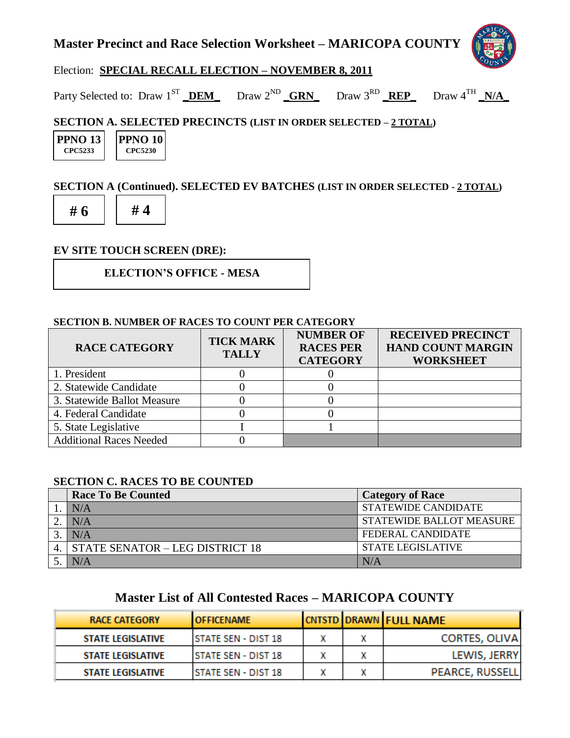## **Master Precinct and Race Selection Worksheet – MARICOPA COUNTY**



#### Election: **SPECIAL RECALL ELECTION – NOVEMBER 8, 2011**

Party Selected to: Draw 1<sup>ST</sup> DEM Draw 2<sup>ND</sup> GRN Draw 3<sup>RD</sup> REP Draw 4<sup>TH</sup> N/A

#### **SECTION A. SELECTED PRECINCTS (LIST IN ORDER SELECTED – 2 TOTAL)**

| <b>PPNO 131</b> |  |
|-----------------|--|
| CPC5233         |  |

**PPNO 10 CPC5230**

#### **SECTION A (Continued). SELECTED EV BATCHES (LIST IN ORDER SELECTED - 2 TOTAL)**



#### **EV SITE TOUCH SCREEN (DRE):**

**ELECTION'S OFFICE - MESA**

#### **SECTION B. NUMBER OF RACES TO COUNT PER CATEGORY**

| <b>RACE CATEGORY</b>           | <b>TICK MARK</b><br><b>TALLY</b> | <b>NUMBER OF</b><br><b>RACES PER</b><br><b>CATEGORY</b> | <b>RECEIVED PRECINCT</b><br><b>HAND COUNT MARGIN</b><br><b>WORKSHEET</b> |
|--------------------------------|----------------------------------|---------------------------------------------------------|--------------------------------------------------------------------------|
| 1. President                   |                                  |                                                         |                                                                          |
| 2. Statewide Candidate         |                                  |                                                         |                                                                          |
| 3. Statewide Ballot Measure    |                                  |                                                         |                                                                          |
| 4. Federal Candidate           |                                  |                                                         |                                                                          |
| 5. State Legislative           |                                  |                                                         |                                                                          |
| <b>Additional Races Needed</b> |                                  |                                                         |                                                                          |

#### **SECTION C. RACES TO BE COUNTED**

| <b>Race To Be Counted</b>          | <b>Category of Race</b>         |
|------------------------------------|---------------------------------|
| N/A                                | <b>STATEWIDE CANDIDATE</b>      |
| N/A                                | <b>STATEWIDE BALLOT MEASURE</b> |
| N/A                                | <b>FEDERAL CANDIDATE</b>        |
| 4. STATE SENATOR - LEG DISTRICT 18 | <b>STATE LEGISLATIVE</b>        |
|                                    | N/A                             |

### **Master List of All Contested Races – MARICOPA COUNTY**

| <b>RACE CATEGORY</b>     | <b>LOFFICENAME</b>          |  | <b>CNTSTD DRAWN FULL NAME</b> |
|--------------------------|-----------------------------|--|-------------------------------|
| <b>STATE LEGISLATIVE</b> | <b>ISTATE SEN - DIST 18</b> |  | <b>CORTES, OLIVA</b>          |
| <b>STATE LEGISLATIVE</b> | <b>ISTATE SEN - DIST 18</b> |  | LEWIS, JERRY                  |
| <b>STATE LEGISLATIVE</b> | <b>ISTATE SEN - DIST 18</b> |  | <b>PEARCE, RUSSELL</b>        |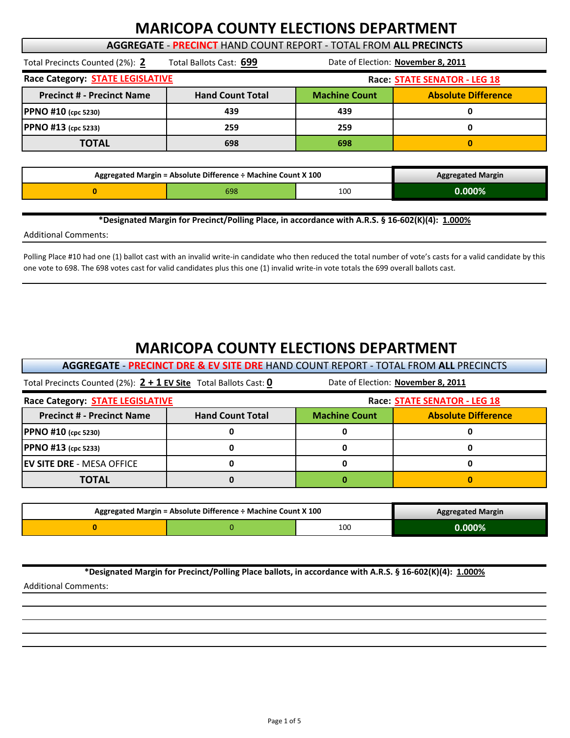# **MARICOPA COUNTY ELECTIONS DEPARTMENT**

#### **AGGREGATE** ‐ **PRECINCT** HAND COUNT REPORT ‐ TOTAL FROM **ALL PRECINCTS**

| Total Precincts Counted (2%): 2         | Total Ballots Cast: 699 | Date of Election: November 8, 2011 |                            |  |
|-----------------------------------------|-------------------------|------------------------------------|----------------------------|--|
| Race Category: <b>STATE LEGISLATIVE</b> |                         | Race: STATE SENATOR - LEG 18       |                            |  |
| <b>Precinct # - Precinct Name</b>       | <b>Hand Count Total</b> | <b>Machine Count</b>               | <b>Absolute Difference</b> |  |
| PPNO #10 (cpc 5230)                     | 439                     | 439                                | o                          |  |
| PPNO #13 (cpc 5233)                     | 259                     | 259                                | O                          |  |
| <b>TOTAL</b>                            | 698                     | 698                                | $\mathbf{0}$               |  |

| Aggregated Margin = Absolute Difference ÷ Machine Count X 100 |     |     | <b>Aggregated Margin</b> |
|---------------------------------------------------------------|-----|-----|--------------------------|
|                                                               | 598 | 100 | Ი.ᲘᲘᲘ%                   |

**\*Designated Margin for Precinct/Polling Place, in accordance with A.R.S. § 16‐602(K)(4): 1.000%**

Additional Comments:

Polling Place #10 had one (1) ballot cast with an invalid write-in candidate who then reduced the total number of vote's casts for a valid candidate by this one vote to 698. The 698 votes cast for valid candidates plus this one (1) invalid write‐in vote totals the 699 overall ballots cast.

# **MARICOPA COUNTY ELECTIONS DEPARTMENT**

**AGGREGATE** ‐ **PRECINCT DRE & EV SITE DRE** HAND COUNT REPORT ‐ TOTAL FROM **ALL** PRECINCTS

| Total Precincts Counted (2%): $2 + 1$ EV Site Total Ballots Cast: 0 |                         | Date of Election: November 8, 2011                 |  |  |
|---------------------------------------------------------------------|-------------------------|----------------------------------------------------|--|--|
| Race Category: <b>STATE LEGISLATIVE</b>                             |                         | Race: STATE SENATOR - LEG 18                       |  |  |
| <b>Precinct # - Precinct Name</b>                                   | <b>Hand Count Total</b> | <b>Machine Count</b><br><b>Absolute Difference</b> |  |  |
| PPNO #10 (cpc 5230)                                                 |                         |                                                    |  |  |
| PPNO #13 (cpc 5233)                                                 |                         |                                                    |  |  |
| <b>IEV SITE DRE - MESA OFFICE</b>                                   |                         |                                                    |  |  |
| TOTAL                                                               |                         |                                                    |  |  |

| Aggregated Margin = Absolute Difference ÷ Machine Count X 100 |  |     | <b>Aggregated Margin</b> |
|---------------------------------------------------------------|--|-----|--------------------------|
|                                                               |  | 100 | .000%                    |

**\*Designated Margin for Precinct/Polling Place ballots, in accordance with A.R.S. § 16‐602(K)(4): 1.000%**

Additional Comments: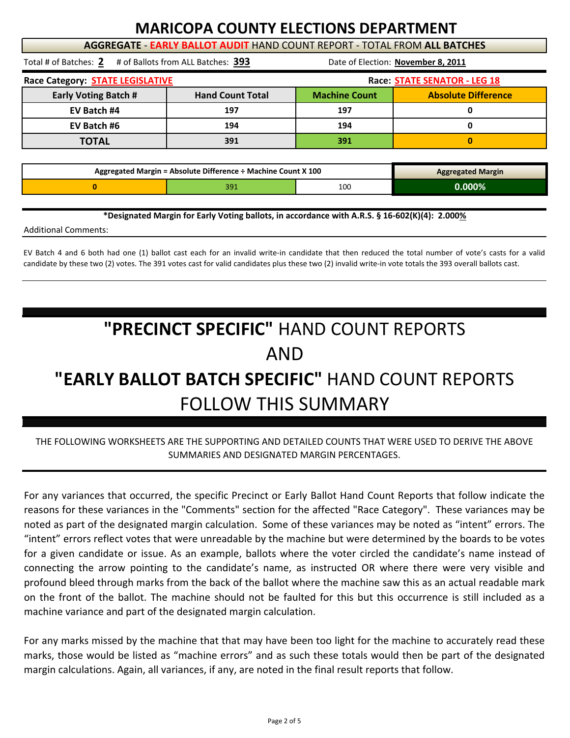# **MARICOPA COUNTY ELECTIONS DEPARTMENT**

**AGGREGATE** ‐ **EARLY BALLOT AUDIT** HAND COUNT REPORT ‐ TOTAL FROM **ALL BATCHES**

Total # of Batches: **2** # of Ballots from ALL Batches: **393**

Date of Election: **November 8, 2011**

| Race Category: <b>STATE LEGISLATIVE</b> |                         |                      | Race: STATE SENATOR - LEG 18 |
|-----------------------------------------|-------------------------|----------------------|------------------------------|
| <b>Early Voting Batch #</b>             | <b>Hand Count Total</b> | <b>Machine Count</b> | <b>Absolute Difference</b>   |
| EV Batch #4                             | 197                     | 197                  |                              |
| EV Batch #6                             | 194                     | 194                  |                              |
| <b>TOTAL</b>                            | 391                     | 391                  |                              |

| Aggregated Margin = Absolute Difference ÷ Machine Count X 100 |  |     | <b>Aggregated Margin</b> |
|---------------------------------------------------------------|--|-----|--------------------------|
|                                                               |  | 100 | $0.000\%$                |

**\*Designated Margin for Early Voting ballots, in accordance with A.R.S. § 16‐602(K)(4): 2.000%**

Additional Comments:

EV Batch 4 and 6 both had one (1) ballot cast each for an invalid write‐in candidate that then reduced the total number of vote's casts for a valid candidate by these two (2) votes. The 391 votes cast for valid candidates plus these two (2) invalid write‐in vote totals the 393 overall ballots cast.

# **"EARLY BALLOT BATCH SPECIFIC"** HAND COUNT REPORTS FOLLOW THIS SUMMARY **"PRECINCT SPECIFIC"** HAND COUNT REPORTS AND

#### THE FOLLOWING WORKSHEETS ARE THE SUPPORTING AND DETAILED COUNTS THAT WERE USED TO DERIVE THE ABOVE SUMMARIES AND DESIGNATED MARGIN PERCENTAGES.

For any variances that occurred, the specific Precinct or Early Ballot Hand Count Reports that follow indicate the reasons for these variances in the "Comments" section for the affected "Race Category". These variances may be noted as part of the designated margin calculation. Some of these variances may be noted as "intent" errors. The "intent" errors reflect votes that were unreadable by the machine but were determined by the boards to be votes for a given candidate or issue. As an example, ballots where the voter circled the candidate's name instead of connecting the arrow pointing to the candidate's name, as instructed OR where there were very visible and profound bleed through marks from the back of the ballot where the machine saw this as an actual readable mark on the front of the ballot. The machine should not be faulted for this but this occurrence is still included as a machine variance and part of the designated margin calculation.

For any marks missed by the machine that that may have been too light for the machine to accurately read these marks, those would be listed as "machine errors" and as such these totals would then be part of the designated margin calculations. Again, all variances, if any, are noted in the final result reports that follow.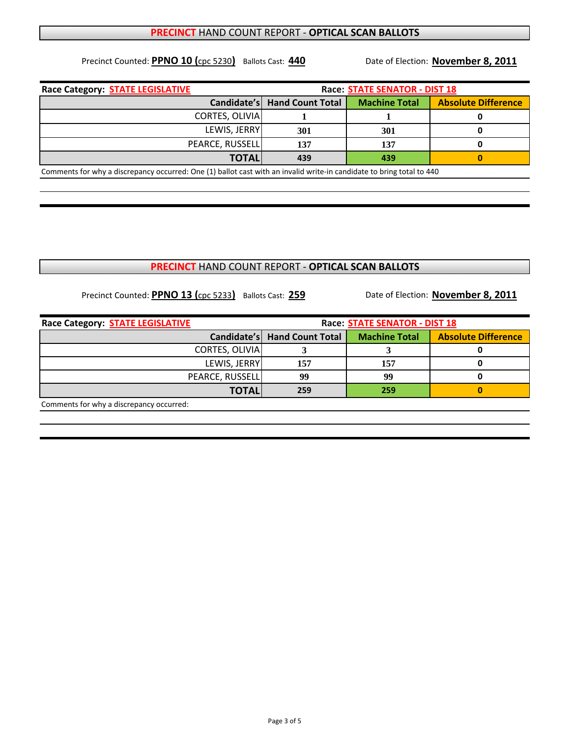#### **PRECINCT** HAND COUNT REPORT ‐ **OPTICAL SCAN BALLOTS**

Precinct Counted: **PPNO 10 (**cpc 5230**)** Ballots Cast: **440**

Date of Election: **November 8, 2011**

| Race Category: <b>STATE LEGISLATIVE</b>                                                                               | <b>Race: STATE SENATOR - DIST 18</b> |                      |                            |  |
|-----------------------------------------------------------------------------------------------------------------------|--------------------------------------|----------------------|----------------------------|--|
| Candidate's                                                                                                           | <b>Hand Count Total</b>              | <b>Machine Total</b> | <b>Absolute Difference</b> |  |
| CORTES, OLIVIA                                                                                                        |                                      |                      |                            |  |
| LEWIS, JERRY                                                                                                          | 301                                  | 301                  |                            |  |
| PEARCE, RUSSELL                                                                                                       | 137                                  | 137                  |                            |  |
| <b>TOTALI</b>                                                                                                         | 439                                  | 439                  |                            |  |
| Comments for why a discrepancy occurred: One (1) ballot cast with an invalid write-in candidate to bring total to 440 |                                      |                      |                            |  |

#### **PRECINCT** HAND COUNT REPORT ‐ **OPTICAL SCAN BALLOTS**

Precinct Counted: **PPNO 13 (**cpc 5233**)** Ballots Cast: **259**

Date of Election: **November 8, 2011**

| Race Category: <b>STATE LEGISLATIVE</b>  | <b>Race: STATE SENATOR - DIST 18</b> |                      |                            |  |
|------------------------------------------|--------------------------------------|----------------------|----------------------------|--|
|                                          | Candidate's Hand Count Total         | <b>Machine Total</b> | <b>Absolute Difference</b> |  |
| CORTES, OLIVIA                           |                                      |                      |                            |  |
| LEWIS, JERRY                             | 157                                  | 157                  |                            |  |
| PEARCE, RUSSELL                          | 99                                   | 99                   |                            |  |
| <b>TOTAL</b>                             | 259                                  | 259                  |                            |  |
| Comments for why a discrepancy occurred: |                                      |                      |                            |  |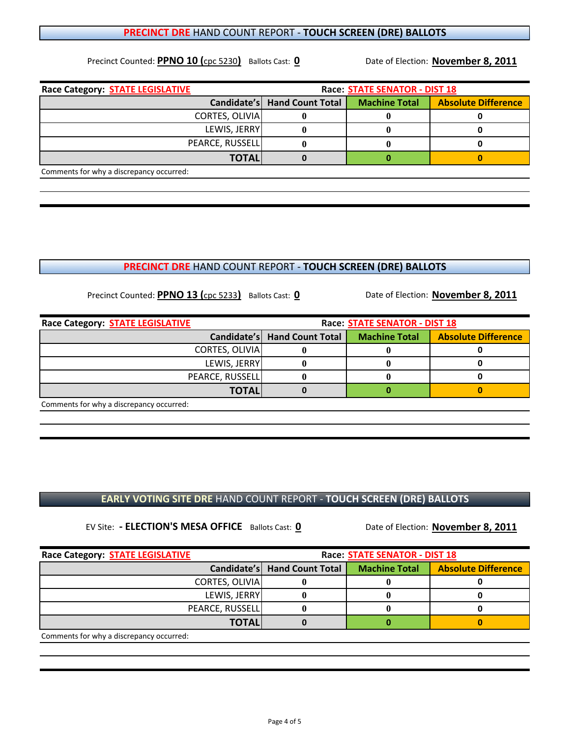**EARLY VOTING SITE DRE** HAND COUNT REPORT ‐ **TOUCH SCREEN (DRE) BALLOTS**

EV Site:  **‐ ELECTION'S MESA OFFICE** Ballots Cast: **0**

**Race Category: STATE LEGISLATIVE RACE: Race: STATE SENATOR** - DIST 18 **Candidate's | Hand Count Total | Machine Total | Absolute Difference** CORTES, OLIVIA **0 0 0 0 0** LEWIS, JERRY **0 0 0** PEARCE, RUSSELL 0 0 0 0 0 **TOTAL 00 0**

Comments for why a discrepancy occurred:

Precinct Counted: **PPNO 13 (**cpc 5233**)** Ballots Cast: **0**

Precinct Counted: **PPNO 10 (**cpc 5230**)** Ballots Cast: **0**

**Race Category: STATE LEGISLATIVE Race: STATE SENATOR ‐ DIST 18 Candidate's | Hand Count Total | Machine Total | Absolute Difference** CORTES, OLIVIA **0 0 0 0 0** LEWIS, JERRY **0 0 0** PEARCE, RUSSELL **0** 0 0 0 **TOTAL 00 0** Comments for why a discrepancy occurred:

**PRECINCT DRE** HAND COUNT REPORT ‐ **TOUCH SCREEN (DRE) BALLOTS**

| Race Category: <b>STATE LEGISLATIVE</b>  | <b>Race: STATE SENATOR - DIST 18</b> |                      |                            |  |
|------------------------------------------|--------------------------------------|----------------------|----------------------------|--|
|                                          | Candidate's   Hand Count Total       | <b>Machine Total</b> | <b>Absolute Difference</b> |  |
| <b>CORTES, OLIVIA</b>                    |                                      |                      |                            |  |
| LEWIS, JERRY                             |                                      |                      |                            |  |
| PEARCE, RUSSELL                          |                                      |                      |                            |  |
| <b>TOTALI</b>                            |                                      |                      |                            |  |
| Comments for why a discrepancy occurred: |                                      |                      |                            |  |

#### **PRECINCT DRE** HAND COUNT REPORT ‐ **TOUCH SCREEN (DRE) BALLOTS**

Date of Election: **November 8, 2011**

Date of Election: **November 8, 2011**

Date of Election: **November 8, 2011**